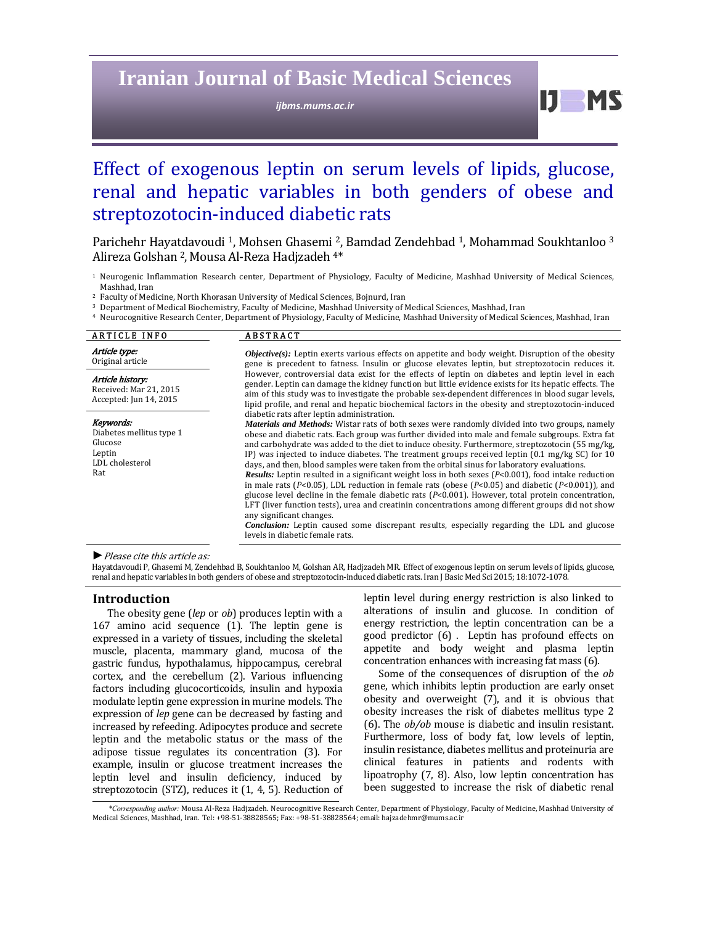## **Iranian Journal of Basic Medical Sciences**

*ijbms.mums.ac.ir*

 $IJ$   $MS$ 

# Effect of exogenous leptin on serum levels of lipids, glucose, renal and hepatic variables in both genders of obese and streptozotocin-induced diabetic rats

Parichehr Hayatdavoudi<sup>1</sup>, Mohsen Ghasemi<sup>2</sup>, Bamdad Zendehbad<sup>1</sup>, Mohammad Soukhtanloo<sup>3</sup> Alireza Golshan<sup>2</sup>, Mousa Al-Reza Hadjzadeh<sup>4\*</sup>

<sup>1</sup> Neurogenic Inflammation Research center, Department of Physiology, Faculty of Medicine, Mashhad University of Medical Sciences, Mashhad, Iran

<sup>2</sup> Faculty of Medicine, North Khorasan University of Medical Sciences, Bojnurd, Iran

<sup>3</sup> Department of Medical Biochemistry, Faculty of Medicine, Mashhad University of Medical Sciences, Mashhad, Iran

<sup>4</sup> Neurocognitive Research Center, Department of Physiology, Faculty of Medicine, Mashhad University of Medical Sciences, Mashhad, Iran

| <b>ARTICLE INFO</b>                                                                  | <b>ABSTRACT</b>                                                                                                                                                                                                                                                                                                                                                                                                                                                                                                                                                                                                                                                                                                                                                                                                                                                                                                                                                                                                                                                                                                                                                                                       |
|--------------------------------------------------------------------------------------|-------------------------------------------------------------------------------------------------------------------------------------------------------------------------------------------------------------------------------------------------------------------------------------------------------------------------------------------------------------------------------------------------------------------------------------------------------------------------------------------------------------------------------------------------------------------------------------------------------------------------------------------------------------------------------------------------------------------------------------------------------------------------------------------------------------------------------------------------------------------------------------------------------------------------------------------------------------------------------------------------------------------------------------------------------------------------------------------------------------------------------------------------------------------------------------------------------|
| Article type:<br>Original article                                                    | $Objective(s)$ : Leptin exerts various effects on appetite and body weight. Disruption of the obesity<br>gene is precedent to fatness. Insulin or glucose elevates leptin, but streptozotocin reduces it.                                                                                                                                                                                                                                                                                                                                                                                                                                                                                                                                                                                                                                                                                                                                                                                                                                                                                                                                                                                             |
| Article history:<br>Received: Mar 21, 2015<br>Accepted: Jun 14, 2015                 | However, controversial data exist for the effects of leptin on diabetes and leptin level in each<br>gender. Leptin can damage the kidney function but little evidence exists for its hepatic effects. The<br>aim of this study was to investigate the probable sex-dependent differences in blood sugar levels,<br>lipid profile, and renal and hepatic biochemical factors in the obesity and streptozotocin-induced                                                                                                                                                                                                                                                                                                                                                                                                                                                                                                                                                                                                                                                                                                                                                                                 |
| Keywords:<br>Diabetes mellitus type 1<br>Glucose<br>Leptin<br>LDL cholesterol<br>Rat | diabetic rats after leptin administration.<br><i>Materials and Methods:</i> Wistar rats of both sexes were randomly divided into two groups, namely<br>obese and diabetic rats. Each group was further divided into male and female subgroups. Extra fat<br>and carbohydrate was added to the diet to induce obesity. Furthermore, streptozotocin (55 mg/kg,<br>IP) was injected to induce diabetes. The treatment groups received leptin $(0.1 \text{ mg/kg} \text{ SC})$ for 10<br>days, and then, blood samples were taken from the orbital sinus for laboratory evaluations.<br><b>Results:</b> Leptin resulted in a significant weight loss in both sexes $(P<0.001)$ , food intake reduction<br>in male rats ( $P<0.05$ ), LDL reduction in female rats (obese ( $P<0.05$ ) and diabetic ( $P<0.001$ )), and<br>glucose level decline in the female diabetic rats $(P<0.001)$ . However, total protein concentration,<br>LFT (liver function tests), urea and creatinin concentrations among different groups did not show<br>any significant changes.<br><b>Conclusion:</b> Leptin caused some discrepant results, especially regarding the LDL and glucose<br>levels in diabetic female rats. |

▶ *Please cite this article as:* 

Hayatdavoudi P, Ghasemi M, Zendehbad B, Soukhtanloo M, Golshan AR, Hadjzadeh MR. Effect of exogenous leptin on serum levels of lipids, glucose, renal and hepatic variables in both genders of obese and streptozotocin-induced diabetic rats. Iran J Basic Med Sci 2015; 18:1072-1078.

#### **Introduction**

The obesity gene *(lep* or *ob*) produces leptin with a 167 amino acid sequence (1). The leptin gene is expressed in a variety of tissues, including the skeletal muscle, placenta, mammary gland, mucosa of the gastric fundus, hypothalamus, hippocampus, cerebral cortex, and the cerebellum (2). Various influencing factors including glucocorticoids, insulin and hypoxia modulate leptin gene expression in murine models. The expression of *lep* gene can be decreased by fasting and increased by refeeding. Adipocytes produce and secrete leptin and the metabolic status or the mass of the adipose tissue regulates its concentration (3). For example, insulin or glucose treatment increases the leptin level and insulin deficiency, induced by streptozotocin (STZ), reduces it  $(1, 4, 5)$ . Reduction of leptin level during energy restriction is also linked to alterations of insulin and glucose. In condition of energy restriction, the leptin concentration can be a good predictor (6) . Leptin has profound effects on appetite and body weight and plasma leptin concentration enhances with increasing fat mass (6).

Some of the consequences of disruption of the *ob* gene, which inhibits leptin production are early onset obesity and overweight (7), and it is obvious that obesity increases the risk of diabetes mellitus type 2 (6). The *ob/ob* mouse is diabetic and insulin resistant. Furthermore, loss of body fat, low levels of leptin, insulin resistance, diabetes mellitus and proteinuria are clinical features in patients and rodents with lipoatrophy  $(7, 8)$ . Also, low leptin concentration has been suggested to increase the risk of diabetic renal

\*Corresponding author: Mousa Al-Reza Hadjzadeh. Neurocognitive Research Center, Department of Physiology, Faculty of Medicine, Mashhad University of Medical Sciences, Mashhad, Iran. Tel: +98-51-38828565; Fax: +98-51-38828564; email: hajzadehmr@mums.ac.ir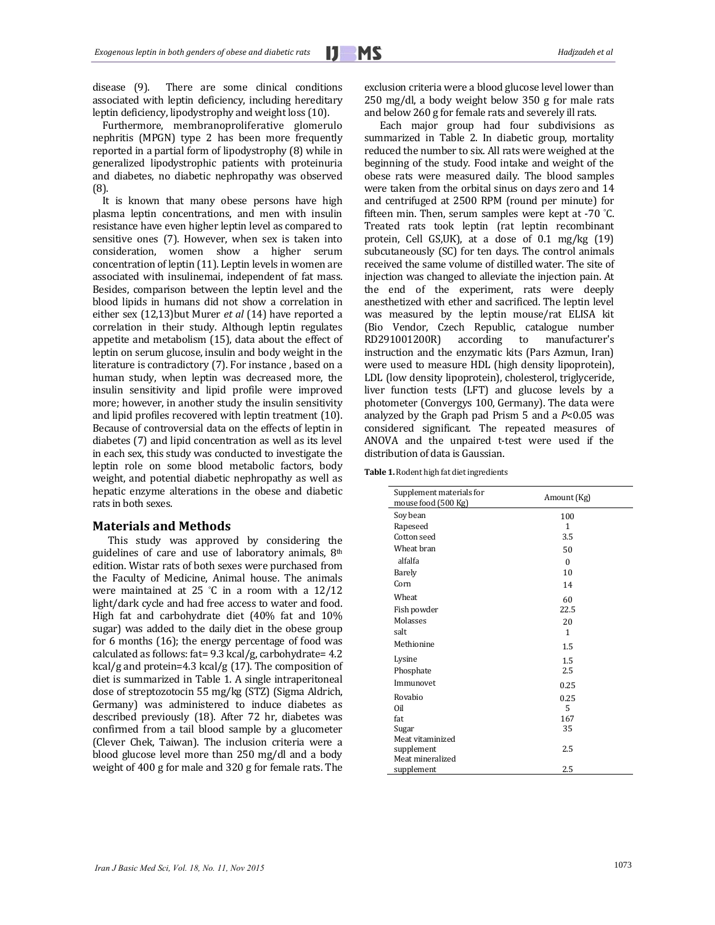<u> 1989 - Andrea Barbara, Amerikaansk politiker (</u>

disease (9). There are some clinical conditions associated with leptin deficiency, including hereditary leptin deficiency, lipodystrophy and weight loss (10).

Furthermore, membranoproliferative glomerulo nephritis (MPGN) type 2 has been more frequently reported in a partial form of lipodystrophy (8) while in generalized lipodystrophic patients with proteinuria and diabetes, no diabetic nephropathy was observed (8). 

It is known that many obese persons have high plasma leptin concentrations, and men with insulin resistance have even higher leptin level as compared to sensitive ones  $(7)$ . However, when sex is taken into consideration, women show a higher serum concentration of leptin (11). Leptin levels in women are associated with insulinemai, independent of fat mass. Besides, comparison between the leptin level and the blood lipids in humans did not show a correlation in either sex (12,13)but Murer *et al* (14) have reported a correlation in their study. Although leptin regulates appetite and metabolism  $(15)$ , data about the effect of leptin on serum glucose, insulin and body weight in the literature is contradictory (7). For instance, based on a human study, when leptin was decreased more, the insulin sensitivity and lipid profile were improved more; however, in another study the insulin sensitivity and lipid profiles recovered with leptin treatment (10). Because of controversial data on the effects of leptin in diabetes (7) and lipid concentration as well as its level in each sex, this study was conducted to investigate the leptin role on some blood metabolic factors, body weight, and potential diabetic nephropathy as well as hepatic enzyme alterations in the obese and diabetic rats in both sexes.

#### **Materials and Methods**

This study was approved by considering the guidelines of care and use of laboratory animals,  $8<sup>th</sup>$ edition. Wistar rats of both sexes were purchased from the Faculty of Medicine, Animal house. The animals were maintained at  $25$  °C in a room with a  $12/12$ light/dark cycle and had free access to water and food. High fat and carbohydrate diet (40% fat and 10% sugar) was added to the daily diet in the obese group for 6 months  $(16)$ ; the energy percentage of food was calculated as follows: fat= $9.3 \text{ kcal/g}$ , carbohydrate=  $4.2 \text{ m}$ kcal/g and protein=4.3 kcal/g  $(17)$ . The composition of diet is summarized in Table 1. A single intraperitoneal dose of streptozotocin 55 mg/kg (STZ) (Sigma Aldrich, Germany) was administered to induce diabetes as described previously (18). After 72 hr, diabetes was confirmed from a tail blood sample by a glucometer (Clever Chek, Taiwan). The inclusion criteria were a blood glucose level more than 250 mg/dl and a body weight of  $400$  g for male and  $320$  g for female rats. The

 $250 \, \text{mg/dl}$ , a body weight below  $350 \, \text{g}$  for male rats and below 260 g for female rats and severely ill rats. Each major group had four subdivisions as

summarized in Table 2. In diabetic group, mortality reduced the number to six. All rats were weighed at the beginning of the study. Food intake and weight of the obese rats were measured daily. The blood samples were taken from the orbital sinus on days zero and 14 and centrifuged at 2500 RPM (round per minute) for fifteen min. Then, serum samples were kept at  $-70$  °C. Treated rats took leptin (rat leptin recombinant protein, Cell GS,UK), at a dose of  $0.1$  mg/kg  $(19)$ subcutaneously (SC) for ten days. The control animals received the same volume of distilled water. The site of injection was changed to alleviate the injection pain. At the end of the experiment, rats were deeply anesthetized with ether and sacrificed. The leptin level was measured by the leptin mouse/rat ELISA kit (Bio Vendor, Czech Republic, catalogue number RD291001200R) according to manufacturer's instruction and the enzymatic kits (Pars Azmun, Iran) were used to measure HDL (high density lipoprotein), LDL (low density lipoprotein), cholesterol, triglyceride, liver function tests (LFT) and glucose levels by a photometer (Convergys 100, Germany). The data were analyzed by the Graph pad Prism  $5$  and a  $P<0.05$  was considered significant. The repeated measures of ANOVA and the unpaired t-test were used if the distribution of data is Gaussian.

exclusion criteria were a blood glucose level lower than

**Table 1.** Rodent high fat diet ingredients

| Supplement materials for<br>mouse food (500 Kg) | Amount (Kg)  |  |
|-------------------------------------------------|--------------|--|
| Soy bean                                        | 100          |  |
| Rapeseed                                        | 1            |  |
| Cotton seed                                     | 3.5          |  |
| Wheat bran                                      | 50           |  |
| alfalfa                                         | $\Omega$     |  |
| Barely                                          | 10           |  |
| Corn                                            | 14           |  |
| Wheat                                           | 60           |  |
| Fish powder                                     | 22.5         |  |
| Molasses                                        | 20           |  |
| salt                                            | $\mathbf{1}$ |  |
| Methionine                                      | 1.5          |  |
| Lysine                                          | 1.5          |  |
| Phosphate                                       | 2.5          |  |
| Immunovet                                       | 0.25         |  |
| Rovabio                                         | 0.25         |  |
| Oil                                             | 5            |  |
| fat                                             | 167          |  |
| Sugar                                           | 35           |  |
| Meat vitaminized                                |              |  |
| supplement                                      | 2.5          |  |
| Meat mineralized                                |              |  |
| supplement                                      | 2.5          |  |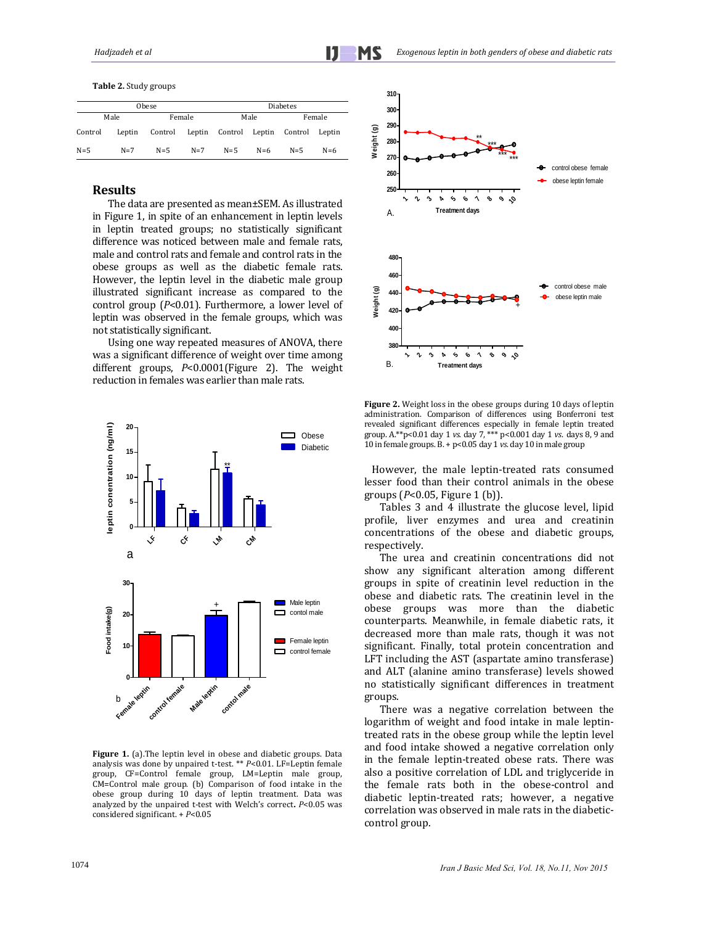**Table 2.** Study groups 

| Obese   |        |         |        | <b>Diabetes</b> |       |         |        |
|---------|--------|---------|--------|-----------------|-------|---------|--------|
|         | Male   |         | Female | Male            |       | Female  |        |
| Control | Leptin | Control | Leptin | Control Leptin  |       | Control | Leptin |
| $N=5$   | $N=7$  | $N=5$   | $N=7$  | $N=5$           | $N=6$ | $N = 5$ | $N=6$  |

## **Results**

The data are presented as mean±SEM. As illustrated in Figure 1, in spite of an enhancement in leptin levels in leptin treated groups; no statistically significant difference was noticed between male and female rats, male and control rats and female and control rats in the obese groups as well as the diabetic female rats. However, the leptin level in the diabetic male group illustrated significant increase as compared to the control group (*P*<0.01). Furthermore, a lower level of leptin was observed in the female groups, which was not statistically significant. 

Using one way repeated measures of ANOVA, there was a significant difference of weight over time among different groups, *P*<0.0001(Figure 2). The weight reduction in females was earlier than male rats.



**Figure 1.** (a). The leptin level in obese and diabetic groups. Data analysis was done by unpaired t-test. \*\* *P*<0.01. LF=Leptin female group, CF=Control female group, LM=Leptin male group, CM=Control male group. (b) Comparison of food intake in the obese group during 10 days of leptin treatment. Data was analyzed by the unpaired t-test with Welch's correct.  $P<0.05$  was considered significant. +  $P$ <0.05



**Figure 2.** Weight loss in the obese groups during 10 days of leptin administration. Comparison of differences using Bonferroni test revealed significant differences especially in female leptin treated group. A.\*\*p<0.01 day 1 *vs.* day 7, \*\*\* p<0.001 day 1 *vs.* days 8, 9 and 10 in female groups. B. + p<0.05 day 1 vs. day 10 in male group

However, the male leptin-treated rats consumed lesser food than their control animals in the obese groups (P<0.05, Figure 1 (b)).

Tables 3 and 4 illustrate the glucose level, lipid profile, liver enzymes and urea and creatinin concentrations of the obese and diabetic groups, respectively. 

The urea and creatinin concentrations did not show any significant alteration among different groups in spite of creatinin level reduction in the obese and diabetic rats. The creatinin level in the obese groups was more than the diabetic counterparts. Meanwhile, in female diabetic rats, it decreased more than male rats, though it was not significant. Finally, total protein concentration and LFT including the AST (aspartate amino transferase) and ALT (alanine amino transferase) levels showed no statistically significant differences in treatment groups.

There was a negative correlation between the logarithm of weight and food intake in male leptintreated rats in the obese group while the leptin level and food intake showed a negative correlation only in the female leptin-treated obese rats. There was also a positive correlation of LDL and triglyceride in the female rats both in the obese-control and diabetic leptin-treated rats; however, a negative correlation was observed in male rats in the diabeticcontrol group.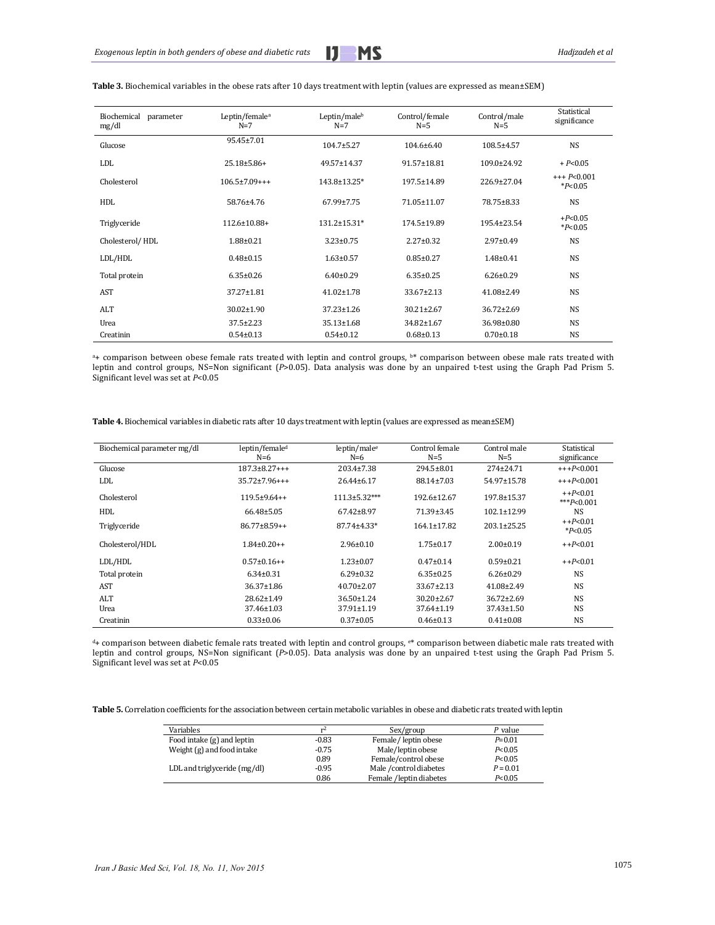<u> 1989 - Andrea Barbara, Amerikaansk politiker (</u>

| Biochemical<br>parameter<br>mg/dl | Leptin/female <sup>a</sup><br>$N=7$ | Leptin/maleb<br>$N=7$ | Control/female<br>$N=5$ | Control/male<br>$N=5$ | Statistical<br>significance |
|-----------------------------------|-------------------------------------|-----------------------|-------------------------|-----------------------|-----------------------------|
| Glucose                           | 95.45±7.01                          | $104.7 \pm 5.27$      | 104.6±6.40              | 108.5±4.57            | <b>NS</b>                   |
| <b>LDL</b>                        | $25.18 \pm 5.86 +$                  | 49.57±14.37           | 91.57±18.81             | 109.0±24.92           | $+P<0.05$                   |
| Cholesterol                       | $106.5 \pm 7.09$ +++                | 143.8±13.25*          | 197.5±14.89             | 226.9±27.04           | $+++P<0.001$<br>$*P<0.05$   |
| HDL                               | 58.76±4.76                          | 67.99±7.75            | 71.05±11.07             | 78.75±8.33            | <b>NS</b>                   |
| Triglyceride                      | 112.6±10.88+                        | $131.2 \pm 15.31*$    | 174.5±19.89             | 195.4±23.54           | $+P<0.05$<br>$*P<0.05$      |
| Cholesterol/HDL                   | $1.88 \pm 0.21$                     | $3.23 \pm 0.75$       | $2.27 \pm 0.32$         | $2.97 \pm 0.49$       | <b>NS</b>                   |
| LDL/HDL                           | $0.48 \pm 0.15$                     | $1.63 \pm 0.57$       | $0.85 \pm 0.27$         | $1.48 \pm 0.41$       | <b>NS</b>                   |
| Total protein                     | $6.35 \pm 0.26$                     | $6.40 \pm 0.29$       | $6.35 \pm 0.25$         | $6.26 \pm 0.29$       | <b>NS</b>                   |
| AST                               | 37.27±1.81                          | $41.02 \pm 1.78$      | $33.67 \pm 2.13$        | 41.08±2.49            | <b>NS</b>                   |
| ALT                               | $30.02 \pm 1.90$                    | 37.23±1.26            | $30.21 \pm 2.67$        | $36.72 \pm 2.69$      | <b>NS</b>                   |
| Urea                              | $37.5 \pm 2.23$                     | 35.13±1.68            | 34.82±1.67              | 36.98±0.80            | <b>NS</b>                   |
| Creatinin                         | $0.54 \pm 0.13$                     | $0.54 \pm 0.12$       | $0.68 \pm 0.13$         | $0.70 \pm 0.18$       | <b>NS</b>                   |

#### Table 3. Biochemical variables in the obese rats after 10 days treatment with leptin (values are expressed as mean±SEM)

<sup>a</sup>+ comparison between obese female rats treated with leptin and control groups, b\* comparison between obese male rats treated with leptin and control groups, NS=Non significant (*P*>0.05). Data analysis was done by an unpaired t-test using the Graph Pad Prism 5. Significant level was set at *P*<0.05

| <b>Table 4.</b> Biochemical variables in diabetic rats after 10 days treatment with leptin (values are expressed as mean±SEM) |  |  |
|-------------------------------------------------------------------------------------------------------------------------------|--|--|
|-------------------------------------------------------------------------------------------------------------------------------|--|--|

| Biochemical parameter mg/dl | leptin/female <sup>d</sup> | leptin/male <sup>e</sup> | Control female    | Control male      | Statistical                |
|-----------------------------|----------------------------|--------------------------|-------------------|-------------------|----------------------------|
|                             | $N=6$                      | $N=6$                    | $N=5$             | $N=5$             | significance               |
| Glucose                     | $187.3 \pm 8.27$ +++       | $203.4 \pm 7.38$         | $294.5 \pm 8.01$  | $274 \pm 24.71$   | $+++P<0.001$               |
| LDL                         | $35.72 + 7.96 + + +$       | $26.44 \pm 6.17$         | 88.14±7.03        | 54.97±15.78       | $+++P<0.001$               |
| Cholesterol                 | $119.5+9.64++$             | $111.3 \pm 5.32***$      | 192.6±12.67       | 197.8±15.37       | $+P<0.01$<br>*** $P<0.001$ |
| HDL                         | $66.48 \pm 5.05$           | $67.42 \pm 8.97$         | 71.39±3.45        | $102.1 \pm 12.99$ | <b>NS</b>                  |
| Triglyceride                | $86.77 \pm 8.59 + +$       | $87.74 \pm 4.33*$        | $164.1 \pm 17.82$ | $203.1 \pm 25.25$ | $+P<0.01$<br>$*P<0.05$     |
| Cholesterol/HDL             | $1.84 \pm 0.20 + +$        | $2.96 \pm 0.10$          | $1.75 \pm 0.17$   | $2.00 \pm 0.19$   | $+P<0.01$                  |
| LDL/HDL                     | $0.57\pm0.16++$            | $1.23 \pm 0.07$          | $0.47 \pm 0.14$   | $0.59 \pm 0.21$   | $+$ + $P$ <0.01            |
| Total protein               | $6.34 \pm 0.31$            | $6.29 \pm 0.32$          | $6.35 \pm 0.25$   | $6.26 \pm 0.29$   | <b>NS</b>                  |
| <b>AST</b>                  | 36.37±1.86                 | $40.70 \pm 2.07$         | $33.67 \pm 2.13$  | $41.08 \pm 2.49$  | <b>NS</b>                  |
| ALT                         | $28.62 \pm 1.49$           | $36.50 \pm 1.24$         | $30.20 \pm 2.67$  | $36.72 \pm 2.69$  | <b>NS</b>                  |
| Urea                        | $37.46 \pm 1.03$           | 37.91±1.19               | $37.64 \pm 1.19$  | 37.43±1.50        | <b>NS</b>                  |
| Creatinin                   | $0.33 \pm 0.06$            | $0.37 \pm 0.05$          | $0.46 \pm 0.13$   | $0.41 \pm 0.08$   | <b>NS</b>                  |

<sup>d</sup>+ comparison between diabetic female rats treated with leptin and control groups, e\* comparison between diabetic male rats treated with leptin and control groups, NS=Non significant (*P*>0.05). Data analysis was done by an unpaired t-test using the Graph Pad Prism 5. Significant level was set at *P*<0.05

Table 5. Correlation coefficients for the association between certain metabolic variables in obese and diabetic rats treated with leptin

| Variables                    | r۷      | Sex/group               | P value    |
|------------------------------|---------|-------------------------|------------|
| Food intake (g) and leptin   | $-0.83$ | Female/leptin obese     | $P = 0.01$ |
| Weight (g) and food intake   | $-0.75$ | Male/leptin obese       | P< 0.05    |
|                              | 0.89    | Female/control obese    | P< 0.05    |
| LDL and triglyceride (mg/dl) | $-0.95$ | Male / control diabetes | $P = 0.01$ |
|                              | 0.86    | Female /leptin diabetes | P < 0.05   |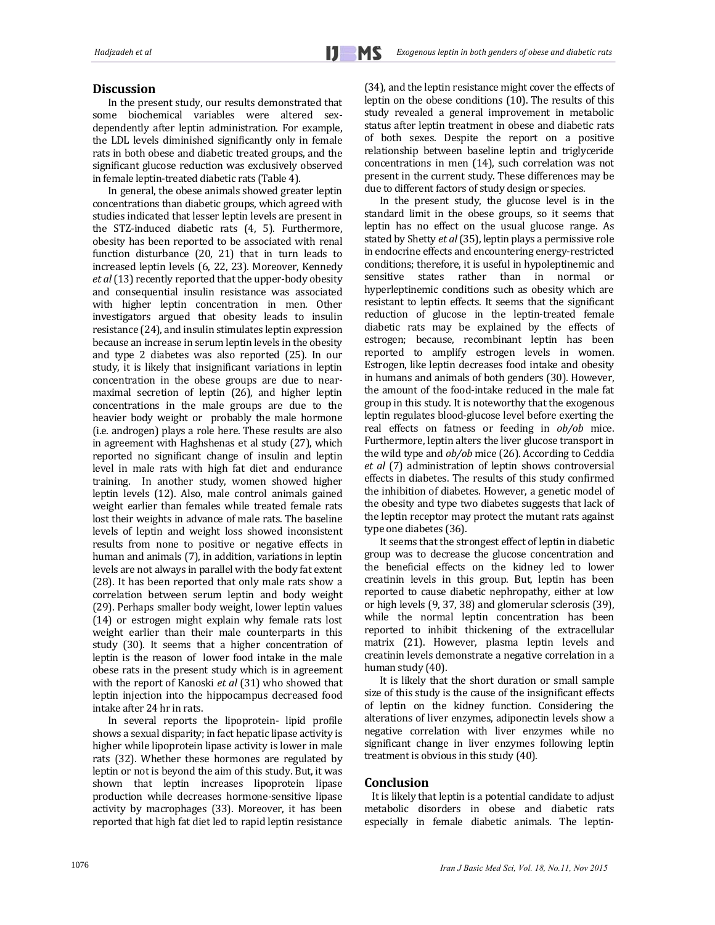## Discussion

In the present study, our results demonstrated that some biochemical variables were altered sexdependently after leptin administration. For example, the LDL levels diminished significantly only in female rats in both obese and diabetic treated groups, and the significant glucose reduction was exclusively observed in female leptin-treated diabetic rats (Table 4).

In general, the obese animals showed greater leptin concentrations than diabetic groups, which agreed with studies indicated that lesser leptin levels are present in the STZ-induced diabetic rats (4, 5). Furthermore, obesity has been reported to be associated with renal function disturbance  $(20, 21)$  that in turn leads to increased leptin levels (6, 22, 23). Moreover, Kennedy *et al* (13) recently reported that the upper-body obesity and consequential insulin resistance was associated with higher leptin concentration in men. Other investigators argued that obesity leads to insulin resistance (24), and insulin stimulates leptin expression because an increase in serum leptin levels in the obesity and type 2 diabetes was also reported (25). In our study, it is likely that insignificant variations in leptin concentration in the obese groups are due to nearmaximal secretion of leptin (26), and higher leptin concentrations in the male groups are due to the heavier body weight or probably the male hormone (i.e. androgen) plays a role here. These results are also in agreement with Haghshenas et al study (27), which reported no significant change of insulin and leptin level in male rats with high fat diet and endurance training. In another study, women showed higher leptin levels (12). Also, male control animals gained weight earlier than females while treated female rats lost their weights in advance of male rats. The baseline levels of leptin and weight loss showed inconsistent results from none to positive or negative effects in human and animals (7), in addition, variations in leptin levels are not always in parallel with the body fat extent (28). It has been reported that only male rats show a correlation between serum leptin and body weight (29). Perhaps smaller body weight, lower leptin values (14) or estrogen might explain why female rats lost weight earlier than their male counterparts in this study (30). It seems that a higher concentration of leptin is the reason of lower food intake in the male obese rats in the present study which is in agreement with the report of Kanoski *et al* (31) who showed that leptin injection into the hippocampus decreased food intake after 24 hr in rats.

In several reports the lipoprotein- lipid profile shows a sexual disparity; in fact hepatic lipase activity is higher while lipoprotein lipase activity is lower in male rats (32). Whether these hormones are regulated by leptin or not is beyond the aim of this study. But, it was shown that leptin increases lipoprotein lipase production while decreases hormone-sensitive lipase activity by macrophages (33). Moreover, it has been reported that high fat diet led to rapid leptin resistance (34), and the leptin resistance might cover the effects of leptin on the obese conditions  $(10)$ . The results of this study revealed a general improvement in metabolic status after leptin treatment in obese and diabetic rats of both sexes. Despite the report on a positive relationship between baseline leptin and triglyceride concentrations in men (14), such correlation was not present in the current study. These differences may be due to different factors of study design or species.

In the present study, the glucose level is in the standard limit in the obese groups, so it seems that leptin has no effect on the usual glucose range. As stated by Shetty *et al* (35), leptin plays a permissive role in endocrine effects and encountering energy-restricted conditions; therefore, it is useful in hypoleptinemic and sensitive states rather than in normal or hyperleptinemic conditions such as obesity which are resistant to leptin effects. It seems that the significant reduction of glucose in the leptin-treated female diabetic rats may be explained by the effects of estrogen; because, recombinant leptin has been reported to amplify estrogen levels in women. Estrogen, like leptin decreases food intake and obesity in humans and animals of both genders (30). However, the amount of the food-intake reduced in the male fat group in this study. It is noteworthy that the exogenous leptin regulates blood-glucose level before exerting the real effects on fatness or feeding in  $ob/ob$  mice. Furthermore, leptin alters the liver glucose transport in the wild type and *ob/ob* mice (26). According to Ceddia et al (7) administration of leptin shows controversial effects in diabetes. The results of this study confirmed the inhibition of diabetes. However, a genetic model of the obesity and type two diabetes suggests that lack of the leptin receptor may protect the mutant rats against type one diabetes (36).

It seems that the strongest effect of leptin in diabetic group was to decrease the glucose concentration and the beneficial effects on the kidney led to lower creatinin levels in this group. But, leptin has been reported to cause diabetic nephropathy, either at low or high levels (9, 37, 38) and glomerular sclerosis (39), while the normal leptin concentration has been reported to inhibit thickening of the extracellular matrix (21). However, plasma leptin levels and creatinin levels demonstrate a negative correlation in a human study (40).

It is likely that the short duration or small sample size of this study is the cause of the insignificant effects of leptin on the kidney function. Considering the alterations of liver enzymes, adiponectin levels show a negative correlation with liver enzymes while no significant change in liver enzymes following leptin treatment is obvious in this study  $(40)$ .

#### **Conclusion**

It is likely that leptin is a potential candidate to adjust metabolic disorders in obese and diabetic rats especially in female diabetic animals. The leptin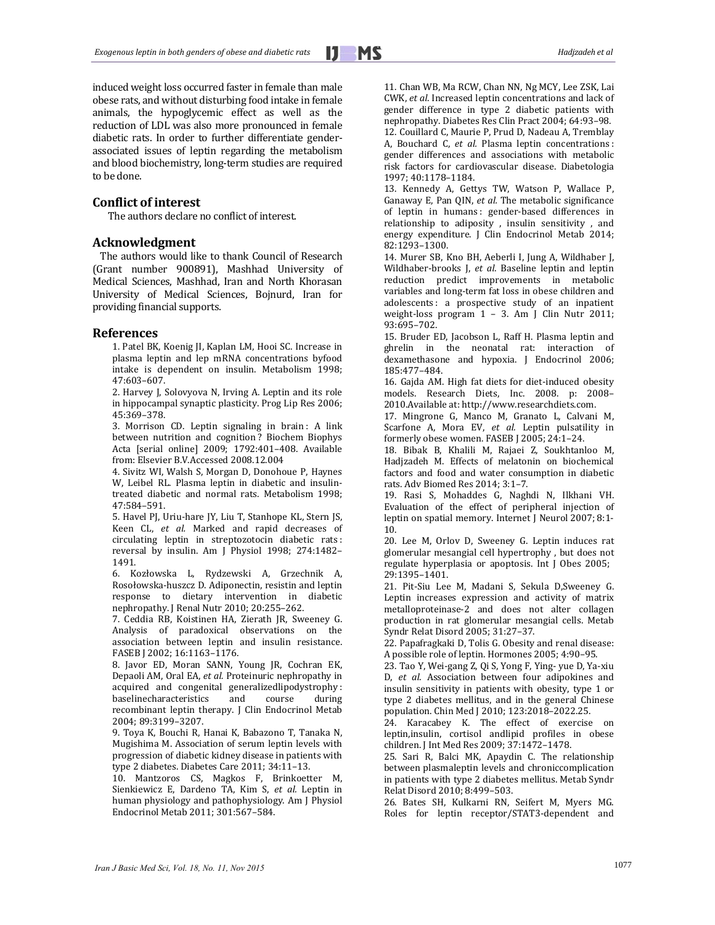<u> 1989 - Andrea Barbara, Amerikaansk politiker (</u>

induced weight loss occurred faster in female than male obese rats, and without disturbing food intake in female animals, the hypoglycemic effect as well as the reduction of LDL was also more pronounced in female diabetic rats. In order to further differentiate genderassociated issues of leptin regarding the metabolism and blood biochemistry, long-term studies are required to be done.

#### **Conflict of interest**

The authors declare no conflict of interest.

## **Acknowledgment**

The authors would like to thank Council of Research (Grant number 900891), Mashhad University of Medical Sciences, Mashhad, Iran and North Khorasan University of Medical Sciences, Bojnurd, Iran for providing financial supports.

#### **References**

1. Patel BK, Koenig JI, Kaplan LM, Hooi SC. Increase in plasma leptin and lep mRNA concentrations byfood intake is dependent on insulin. Metabolism 1998; 47:603–607. 

2. Harvey J, Solovyova N, Irving A. Leptin and its role in hippocampal synaptic plasticity. Prog Lip Res 2006; 45:369–378. 

3. Morrison CD. Leptin signaling in brain : A link between nutrition and cognition? Biochem Biophys Acta [serial online] 2009; 1792:401-408. Available from: Elsevier B.V.Accessed 2008.12.004

4. Sivitz WI, Walsh S, Morgan D, Donohoue P, Haynes W, Leibel RL. Plasma leptin in diabetic and insulintreated diabetic and normal rats. Metabolism 1998; 47:584–591. 

5. Havel PJ, Uriu-hare JY, Liu T, Stanhope KL, Stern JS, Keen CL, et al. Marked and rapid decreases of circulating leptin in streptozotocin diabetic rats : reversal by insulin. Am J Physiol 1998; 274:1482-1491. 

6. Kozłowska L, Rydzewski A, Grzechnik A, Rosołowska-huszcz D. Adiponectin, resistin and leptin response to dietary intervention in diabetic nephropathy. J Renal Nutr 2010; 20:255-262.

7. Ceddia RB, Koistinen HA, Zierath JR, Sweeney G. Analysis of paradoxical observations on the association between leptin and insulin resistance. FASEB J 2002; 16:1163-1176.

8. Javor ED, Moran SANN, Young JR, Cochran EK, Depaoli AM, Oral EA, *et al.* Proteinuric nephropathy in acquired and congenital generalizedlipodystrophy : baselinecharacteristics and course during recombinant leptin therapy. J Clin Endocrinol Metab 2004; 89:3199–3207. 

9. Toya K, Bouchi R, Hanai K, Babazono T, Tanaka N, Mugishima M. Association of serum leptin levels with progression of diabetic kidney disease in patients with type 2 diabetes. Diabetes Care 2011; 34:11-13.

10. Mantzoros CS, Magkos F, Brinkoetter M, Sienkiewicz E, Dardeno TA, Kim S, et al. Leptin in human physiology and pathophysiology. Am J Physiol Endocrinol Metab 2011; 301:567–584. 

11. Chan WB, Ma RCW, Chan NN, Ng MCY, Lee ZSK, Lai CWK, et al. Increased leptin concentrations and lack of gender difference in type 2 diabetic patients with nephropathy. Diabetes Res Clin Pract 2004; 64:93-98. 12. Couillard C, Maurie P, Prud D, Nadeau A, Tremblay A, Bouchard C, *et al.* Plasma leptin concentrations : gender differences and associations with metabolic risk factors for cardiovascular disease. Diabetologia 1997; 40:1178–1184. 

13. Kennedy A, Gettys TW, Watson P, Wallace P, Ganaway E, Pan QIN, et al. The metabolic significance of leptin in humans : gender‐based differences in relationship to adiposity , insulin sensitivity , and energy expenditure. J Clin Endocrinol Metab 2014; 82:1293–1300. 

14. Murer SB, Kno BH, Aeberli I, Jung A, Wildhaber J, Wildhaber-brooks *J, et al.* Baseline leptin and leptin reduction predict improvements in metabolic variables and long-term fat loss in obese children and adolescents: a prospective study of an inpatient weight-loss program 1 - 3. Am J Clin Nutr 2011; 93:695–702. 

15. Bruder ED, Jacobson L, Raff H, Plasma leptin and ghrelin in the neonatal rat: interaction of dexamethasone and hypoxia. J Endocrinol 2006; 185:477–484. 

16. Gajda AM. High fat diets for diet-induced obesity models. Research Diets, Inc. 2008. p: 2008-2010.Available at: http://www.researchdiets.com.

17. Mingrone G, Manco M, Granato L, Calvani M, Scarfone A, Mora EV, *et al.* Leptin pulsatility in formerly obese women. FASEB J 2005; 24:1-24.

18. Bibak B, Khalili M, Rajaei Z, Soukhtanloo M, Hadjzadeh M. Effects of melatonin on biochemical factors and food and water consumption in diabetic rats. Adv Biomed Res 2014; 3:1–7. 

19. Rasi S, Mohaddes G, Naghdi N, Ilkhani VH. Evaluation of the effect of peripheral injection of leptin on spatial memory. Internet J Neurol 2007; 8:1-10. 

20. Lee M, Orlov D, Sweeney G. Leptin induces rat glomerular mesangial cell hypertrophy, but does not regulate hyperplasia or apoptosis. Int J Obes 2005; 29:1395–1401. 

21. Pit-Siu Lee M, Madani S, Sekula D,Sweeney G. Leptin increases expression and activity of matrix metalloproteinase-2 and does not alter collagen production in rat glomerular mesangial cells. Metab Syndr Relat Disord 2005; 31:27-37.

22. Papafragkaki D, Tolis G. Obesity and renal disease: A possible role of leptin. Hormones 2005; 4:90-95.

23. Tao Y, Wei-gang Z, Qi S, Yong F, Ying- yue D, Ya-xiu D, *et al.* Association between four adipokines and insulin sensitivity in patients with obesity, type 1 or type 2 diabetes mellitus, and in the general Chinese population. Chin Med J 2010; 123:2018-2022.25.

24. Karacabey K. The effect of exercise on leptin,insulin, cortisol andlipid profiles in obese children. J Int Med Res 2009; 37:1472-1478.

25. Sari R, Balci MK, Apaydin C. The relationship between plasmaleptin levels and chroniccomplication in patients with type 2 diabetes mellitus. Metab Syndr Relat Disord 2010; 8:499-503.

26. Bates SH, Kulkarni RN, Seifert M, Myers MG. Roles for leptin receptor/STAT3-dependent and